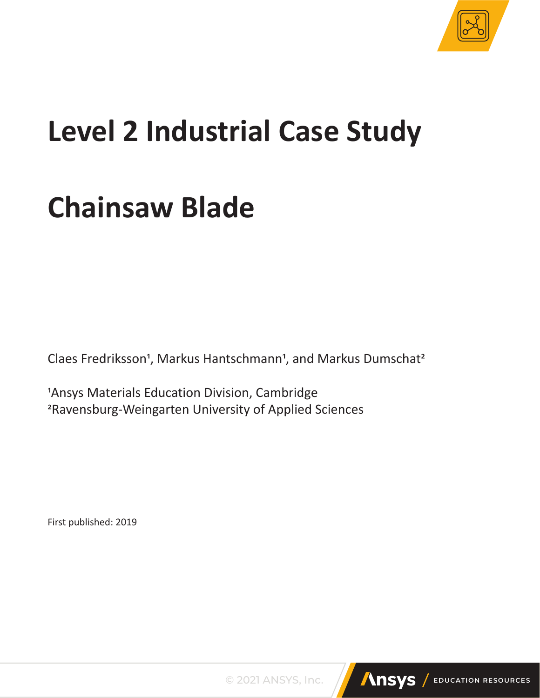

# **Level 2 Industrial Case Study**

## **Chainsaw Blade**

Claes Fredriksson<sup>1</sup>, Markus Hantschmann<sup>1</sup>, and Markus Dumschat<sup>2</sup>

1Ansys Materials Education Division, Cambridge 2Ravensburg-Weingarten University of Applied Sciences

First published: 2019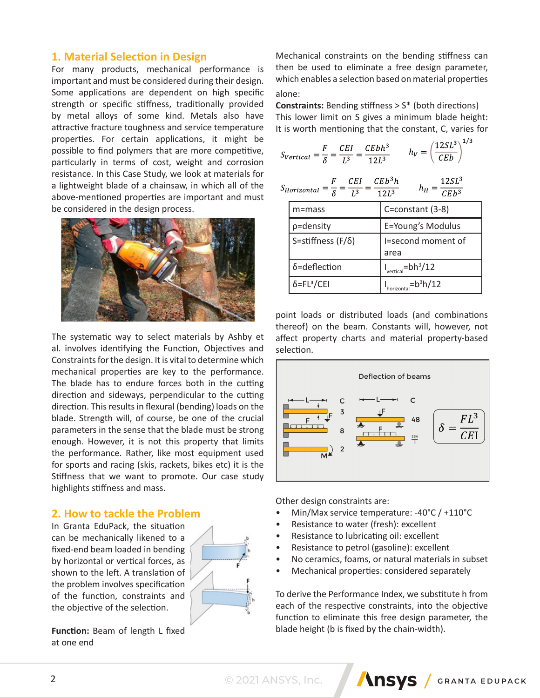## **1. Material Selection in Design**

For many products, mechanical performance is important and must be considered during their design. Some applications are dependent on high specific strength or specific stiffness, traditionally provided by metal alloys of some kind. Metals also have attractive fracture toughness and service temperature properties. For certain applications, it might be possible to find polymers that are more competitive, particularly in terms of cost, weight and corrosion resistance. In this Case Study, we look at materials for a lightweight blade of a chainsaw, in which all of the above-mentioned properties are important and must be considered in the design process.



The systematic way to select materials by Ashby et al. involves identifying the Function, Objectives and Constraints for the design. It is vital to determine which mechanical properties are key to the performance. The blade has to endure forces both in the cutting direction and sideways, perpendicular to the cutting direction. This results in flexural (bending) loads on the blade. Strength will, of course, be one of the crucial parameters in the sense that the blade must be strong enough. However, it is not this property that limits the performance. Rather, like most equipment used for sports and racing (skis, rackets, bikes etc) it is the Stiffness that we want to promote. Our case study highlights stiffness and mass.

## **2. How to tackle the Problem**

In Granta EduPack, the situation can be mechanically likened to a fixed-end beam loaded in bending by horizontal or vertical forces, as shown to the left. A translation of the problem involves specification of the function, constraints and the objective of the selection.



**Function:** Beam of length L fixed at one end

Mechanical constraints on the bending stiffness can then be used to eliminate a free design parameter, which enables a selection based on material properties alone:

**Constraints:** Bending stiffness > S\* (both directions) This lower limit on S gives a minimum blade height: It is worth mentioning that the constant, C, varies for

$$
S_{Vertical} = \frac{F}{\delta} = \frac{CEI}{L^3} = \frac{CEbh^3}{12L^3} \qquad h_V = \left(\frac{12SL^3}{CEb}\right)^{1/3}
$$

$$
S_{Horizontal} = \frac{F}{\delta} = \frac{CEI}{L^3} = \frac{CEb^3h}{12L^3} \qquad h_H = \frac{12SL^3}{CEb^3}
$$

| m=mass                         | C=constant (3-8)           |
|--------------------------------|----------------------------|
| p=density                      | E=Young's Modulus          |
| S=stiffness $(F/\delta)$       | I=second moment of<br>area |
| δ=deflection                   | $I_{vertical} = bh^3/12$   |
| $\delta$ =FL <sup>3</sup> /CEI | $-b^3h/12$                 |

point loads or distributed loads (and combinations thereof) on the beam. Constants will, however, not affect property charts and material property-based selection.



Other design constraints are:

- Min/Max service temperature: -40°C / +110°C
- Resistance to water (fresh): excellent
- Resistance to lubricating oil: excellent
- Resistance to petrol (gasoline): excellent
- No ceramics, foams, or natural materials in subset
- Mechanical properties: considered separately

To derive the Performance Index, we substitute h from each of the respective constraints, into the objective function to eliminate this free design parameter, the blade height (b is fixed by the chain-width).

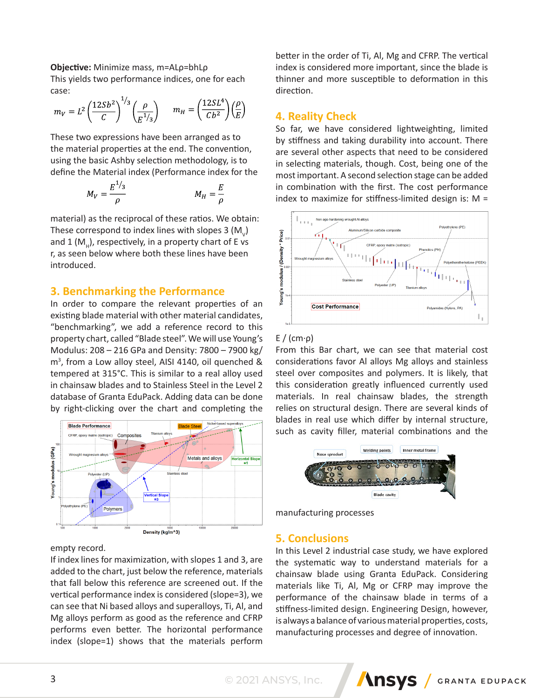#### **Objective:** Minimize mass, m=ALρ=bhLρ

This yields two performance indices, one for each case:  $\overline{a}$ 

$$
m_V = L^2 \left(\frac{12Sb^2}{C}\right)^{1/3} \left(\frac{\rho}{E^{1/3}}\right) \qquad m_H = \left(\frac{12SL^4}{Cb^2}\right) \left(\frac{\rho}{E}\right)
$$

These two expressions have been arranged as to the material properties at the end. The convention, using the basic Ashby selection methodology, is to define the Material index (Performance index for the

$$
M_V = \frac{E^{1/3}}{\rho} \qquad \qquad M_H = \frac{E}{\rho}
$$

material) as the reciprocal of these ratios. We obtain: These correspond to index lines with slopes 3 (M<sub>v</sub>) and 1 ( $M<sub>H</sub>$ ), respectively, in a property chart of E vs r, as seen below where both these lines have been introduced.

## **3. Benchmarking the Performance**

In order to compare the relevant properties of an existing blade material with other material candidates, "benchmarking", we add a reference record to this property chart, called "Blade steel". We will use Young's Modulus: 208 – 216 GPa and Density: 7800 – 7900 kg/ m<sup>3</sup> , from a Low alloy steel, AISI 4140, oil quenched & tempered at 315°C. This is similar to a real alloy used in chainsaw blades and to Stainless Steel in the Level 2 database of Granta EduPack. Adding data can be done by right-clicking over the chart and completing the



#### empty record.

If index lines for maximization, with slopes 1 and 3, are added to the chart, just below the reference, materials that fall below this reference are screened out. If the vertical performance index is considered (slope=3), we can see that Ni based alloys and superalloys, Ti, Al, and Mg alloys perform as good as the reference and CFRP performs even better. The horizontal performance index (slope=1) shows that the materials perform

better in the order of Ti, Al, Mg and CFRP. The vertical index is considered more important, since the blade is thinner and more susceptible to deformation in this direction.

#### **4. Reality Check**

So far, we have considered lightweighting, limited by stiffness and taking durability into account. There are several other aspects that need to be considered in selecting materials, though. Cost, being one of the most important. A second selection stage can be added in combination with the first. The cost performance index to maximize for stiffness-limited design is: M =



#### E / (cm·ρ)

From this Bar chart, we can see that material cost considerations favor Al alloys Mg alloys and stainless steel over composites and polymers. It is likely, that this consideration greatly influenced currently used materials. In real chainsaw blades, the strength relies on structural design. There are several kinds of blades in real use which differ by internal structure, such as cavity filler, material combinations and the



manufacturing processes

#### **5. Conclusions**

In this Level 2 industrial case study, we have explored the systematic way to understand materials for a chainsaw blade using Granta EduPack. Considering materials like Ti, Al, Mg or CFRP may improve the performance of the chainsaw blade in terms of a stiffness-limited design. Engineering Design, however, is always a balance of various material properties, costs, manufacturing processes and degree of innovation.